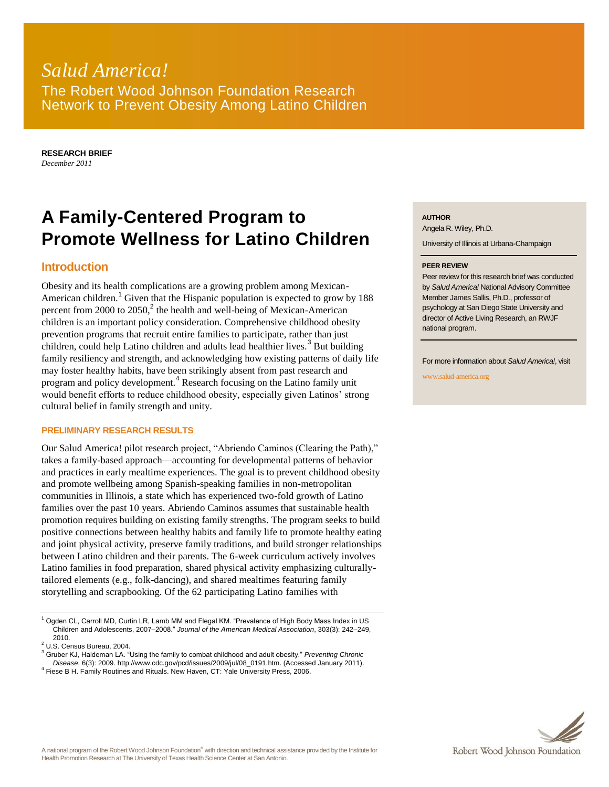# *Salud America!* The Robert Wood Johnson Foundation Research Network to Prevent Obesity Among Latino Children

**RESEARCH BRIEF** *December 2011*

# **A Family-Centered Program to Promote Wellness for Latino Children**

## **Introduction**

Obesity and its health complications are a growing problem among Mexican-American children.<sup>1</sup> Given that the Hispanic population is expected to grow by 188 percent from 2000 to  $2050$ ,<sup>2</sup> the health and well-being of Mexican-American children is an important policy consideration. Comprehensive childhood obesity prevention programs that recruit entire families to participate, rather than just children, could help Latino children and adults lead healthier lives.<sup>3</sup> But building family resiliency and strength, and acknowledging how existing patterns of daily life may foster healthy habits, have been strikingly absent from past research and program and policy development.<sup>4</sup> Research focusing on the Latino family unit would benefit efforts to reduce childhood obesity, especially given Latinos' strong cultural belief in family strength and unity.

#### **PRELIMINARY RESEARCH RESULTS**

Our Salud America! pilot research project, "Abriendo Caminos (Clearing the Path)," takes a family-based approach—accounting for developmental patterns of behavior and practices in early mealtime experiences. The goal is to prevent childhood obesity and promote wellbeing among Spanish-speaking families in non-metropolitan communities in Illinois, a state which has experienced two-fold growth of Latino families over the past 10 years. Abriendo Caminos assumes that sustainable health promotion requires building on existing family strengths. The program seeks to build positive connections between healthy habits and family life to promote healthy eating and joint physical activity, preserve family traditions, and build stronger relationships between Latino children and their parents. The 6-week curriculum actively involves Latino families in food preparation, shared physical activity emphasizing culturallytailored elements (e.g., folk-dancing), and shared mealtimes featuring family storytelling and scrapbooking. Of the 62 participating Latino families with

<sup>1</sup> Ogden CL, Carroll MD, Curtin LR, Lamb MM and Flegal KM. "Prevalence of High Body Mass Index in US Children and Adolescents, 2007–2008." *Journal of the American Medical Association*, 303(3): 242–249, 2010.

<sup>2</sup> U.S. Census Bureau, 2004.

**AUTHOR**

Angela R. Wiley, Ph.D.

University of Illinois at Urbana-Champaign

#### **PEER REVIEW**

Peer review for this research brief was conducted by *Salud America!* National Advisory Committee Member James Sallis, Ph.D., professor of psychology at San Diego State University and director of Active Living Research, an RWJF national program.

For more information about *Salud America!*, visit

www.salud-america.org



<sup>3</sup> Gruber KJ, Haldeman LA. "Using the family to combat childhood and adult obesity." *Preventing Chronic Disease*, 6(3): 2009. http://www.cdc.gov/pcd/issues/2009/jul/08\_0191.htm. (Accessed January 2011).

<sup>&</sup>lt;sup>4</sup> Fiese B H. Family Routines and Rituals. New Haven, CT: Yale University Press, 2006.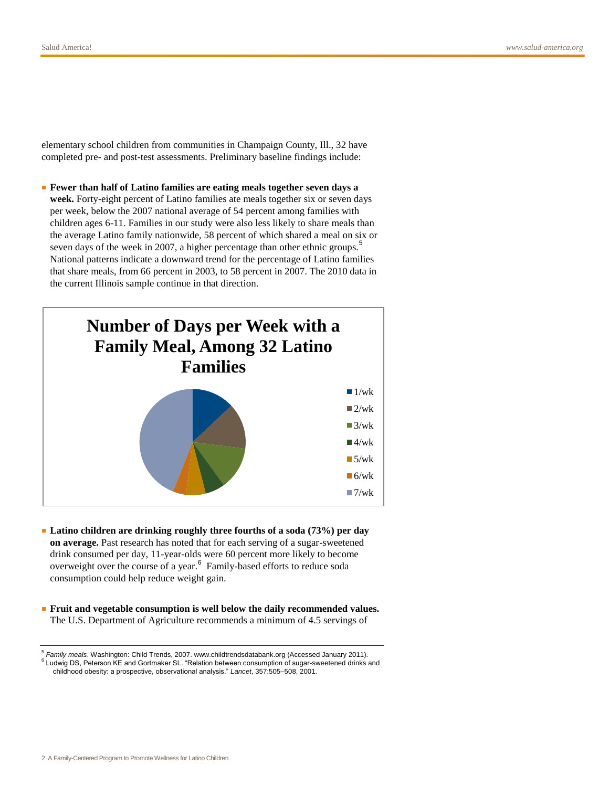elementary school children from communities in Champaign County, Ill., 32 have completed pre- and post-test assessments. Preliminary baseline findings include:

■ **Fewer than half of Latino families are eating meals together seven days a week.** Forty-eight percent of Latino families ate meals together six or seven days per week, below the 2007 national average of 54 percent among families with children ages 6-11. Families in our study were also less likely to share meals than the average Latino family nationwide, 58 percent of which shared a meal on six or seven days of the week in 2007, a higher percentage than other ethnic groups.<sup>5</sup> National patterns indicate a downward trend for the percentage of Latino families that share meals, from 66 percent in 2003, to 58 percent in 2007. The 2010 data in the current Illinois sample continue in that direction.



- **Latino children are drinking roughly three fourths of a soda (73%) per day on average.** Past research has noted that for each serving of a sugar-sweetened drink consumed per day, 11-year-olds were 60 percent more likely to become overweight over the course of a year.<sup>6</sup> Family-based efforts to reduce soda consumption could help reduce weight gain.
- **Fruit and vegetable consumption is well below the daily recommended values.** The U.S. Department of Agriculture recommends a minimum of 4.5 servings of

<sup>5</sup> *Family meals*. Washington: Child Trends, 2007. www.childtrendsdatabank.org (Accessed January 2011). <sup>6</sup> Ludwig DS, Peterson KE and Gortmaker SL. "Relation between consumption of sugar-sweetened drinks and childhood obesity: a prospective, observational analysis." *Lancet*, 357:505–508, 2001.